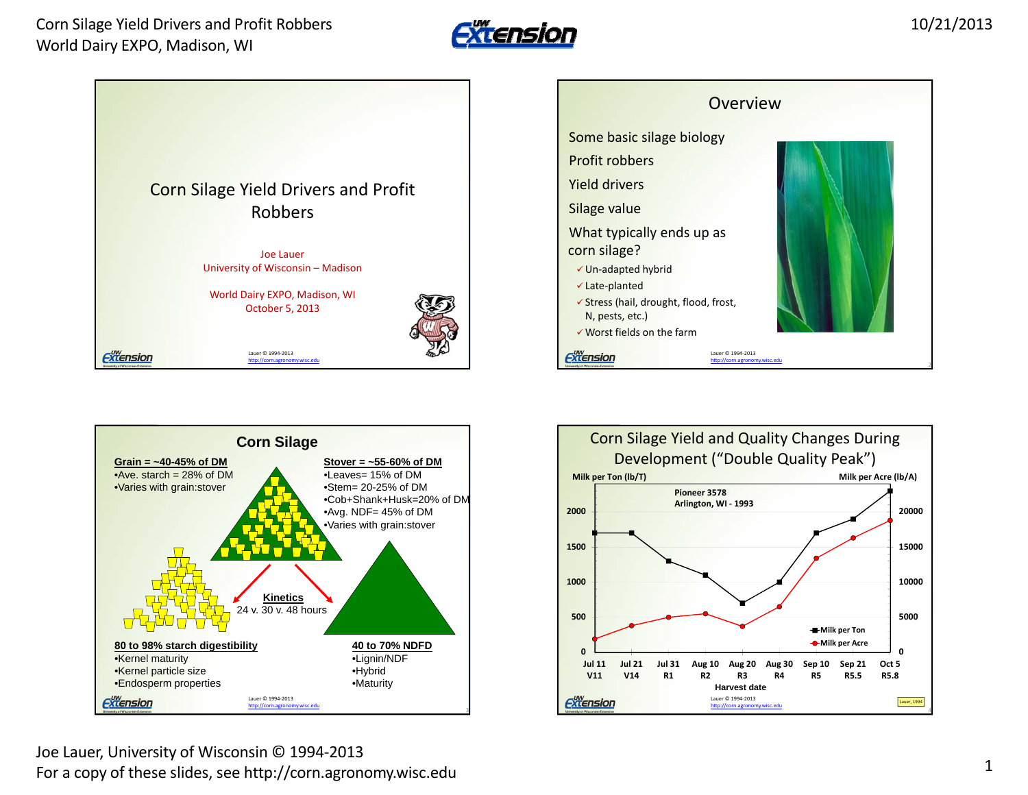









Joe Lauer, University of Wisconsin © 1994‐2013 For a copy of these slides, see http://corn.agronomy.wisc.edu <sup>1</sup>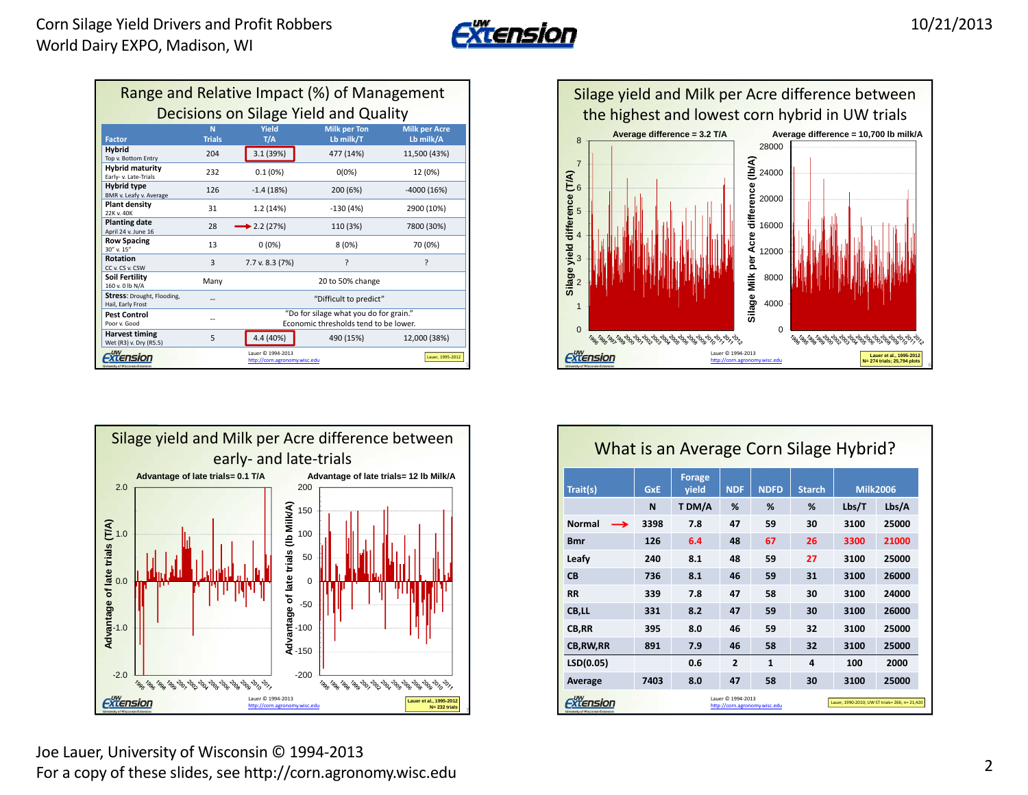

| Range and Relative Impact (%) of Management            |                    |                                                                                 |                                  |                                   |  |  |  |
|--------------------------------------------------------|--------------------|---------------------------------------------------------------------------------|----------------------------------|-----------------------------------|--|--|--|
| Decisions on Silage Yield and Quality                  |                    |                                                                                 |                                  |                                   |  |  |  |
| <b>Factor</b>                                          | N<br><b>Trials</b> | Yield<br>T/A                                                                    | <b>Milk per Ton</b><br>Lb milk/T | <b>Milk per Acre</b><br>Lb milk/A |  |  |  |
| <b>Hybrid</b><br>Top v. Bottom Entry                   | 204                | 3.1 (39%)                                                                       | 477 (14%)                        | 11,500 (43%)                      |  |  |  |
| <b>Hybrid maturity</b><br>Early-v. Late-Trials         | 232                | 0.1(0%)                                                                         | $0(0\%)$                         | 12 (0%)                           |  |  |  |
| <b>Hybrid type</b><br>BMR v. Leafy v. Average          | 126                | $-1.4(18%)$                                                                     | 200 (6%)                         | $-4000(16%)$                      |  |  |  |
| <b>Plant density</b><br>22K v. 40K                     | 31                 | 1.2 (14%)                                                                       | $-130(4%)$                       | 2900 (10%)                        |  |  |  |
| <b>Planting date</b><br>April 24 v. June 16            | 28                 | $\blacktriangleright$ 2.2 (27%)                                                 | 110 (3%)                         | 7800 (30%)                        |  |  |  |
| <b>Row Spacing</b><br>30" v. 15"                       | 13                 | $0(0\%)$                                                                        | 8(0%)                            | 70 (0%)                           |  |  |  |
| <b>Rotation</b><br>CC v. CS v. CSW                     | 3                  | 7.7 v. 8.3 (7%)                                                                 | ς                                | ς                                 |  |  |  |
| Soil Fertility<br>160 v. 0 lb N/A                      | Many               |                                                                                 | 20 to 50% change                 |                                   |  |  |  |
| <b>Stress: Drought, Flooding,</b><br>Hail, Early Frost |                    |                                                                                 | "Difficult to predict"           |                                   |  |  |  |
| <b>Pest Control</b><br>Poor v. Good                    |                    | "Do for silage what you do for grain."<br>Economic thresholds tend to be lower. |                                  |                                   |  |  |  |
| <b>Harvest timing</b><br>Wet (R3) v. Dry (R5.5)        | 5                  | 4.4 (40%)                                                                       | 490 (15%)                        | 12.000 (38%)                      |  |  |  |
| <b>LIW</b><br>University of Wisconsin-Extensive        |                    | Lauer © 1994-2013<br>http://corn.agronomy.wisc.edu                              |                                  | Lauer, 1995-2012                  |  |  |  |







| What is an Average Corn Silage Hybrid?                                                                                                    |            |                        |                |             |               |                 |       |
|-------------------------------------------------------------------------------------------------------------------------------------------|------------|------------------------|----------------|-------------|---------------|-----------------|-------|
| Trait(s)                                                                                                                                  | <b>GxE</b> | <b>Forage</b><br>vield | <b>NDF</b>     | <b>NDFD</b> | <b>Starch</b> | <b>Milk2006</b> |       |
|                                                                                                                                           | N          | T DM/A                 | %              | %           | %             | Lbs/T           | Lbs/A |
| <b>Normal</b><br>$\rightarrow$                                                                                                            | 3398       | 7.8                    | 47             | 59          | 30            | 3100            | 25000 |
| Bmr                                                                                                                                       | 126        | 6.4                    | 48             | 67          | 26            | 3300            | 21000 |
| Leafy                                                                                                                                     | 240        | 8.1                    | 48             | 59          | 27            | 3100            | 25000 |
| <b>CB</b>                                                                                                                                 | 736        | 8.1                    | 46             | 59          | 31            | 3100            | 26000 |
| <b>RR</b>                                                                                                                                 | 339        | 7.8                    | 47             | 58          | 30            | 3100            | 24000 |
| CB,LL                                                                                                                                     | 331        | 8.2                    | 47             | 59          | 30            | 3100            | 26000 |
| CB,RR                                                                                                                                     | 395        | 8.0                    | 46             | 59          | 32            | 3100            | 25000 |
| <b>CB, RW, RR</b>                                                                                                                         | 891        | 7.9                    | 46             | 58          | 32            | 3100            | 25000 |
| LSD(0.05)                                                                                                                                 |            | 0.6                    | $\overline{2}$ | 1           | 4             | 100             | 2000  |
| Average                                                                                                                                   | 7403       | 8.0                    | 47             | 58          | 30            | 3100            | 25000 |
| Lauer © 1994-2013<br>Lauer, 1990-2010; UW ST trials= 266; n= 21,420<br>http://corn.agronomv.wisc.edu<br>University of Wisconsin-Extensive |            |                        |                |             |               |                 |       |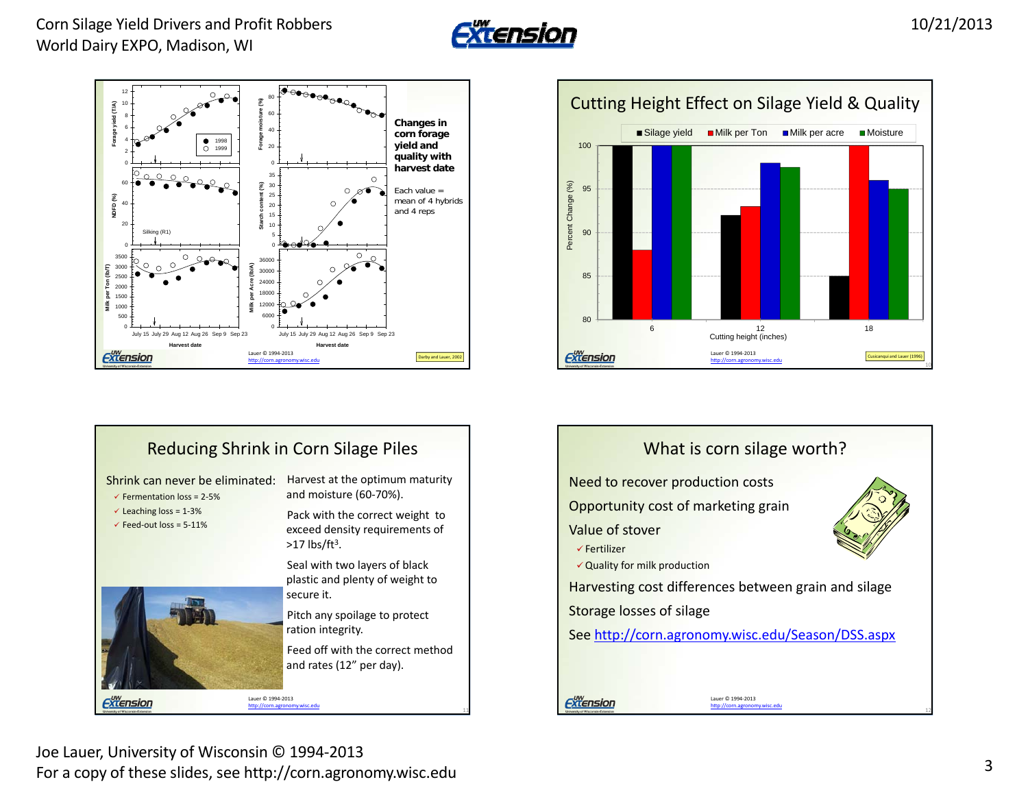









Joe Lauer, University of Wisconsin © 1994‐2013 For a copy of these slides, see http://corn.agronomy.wisc.edu <sup>3</sup>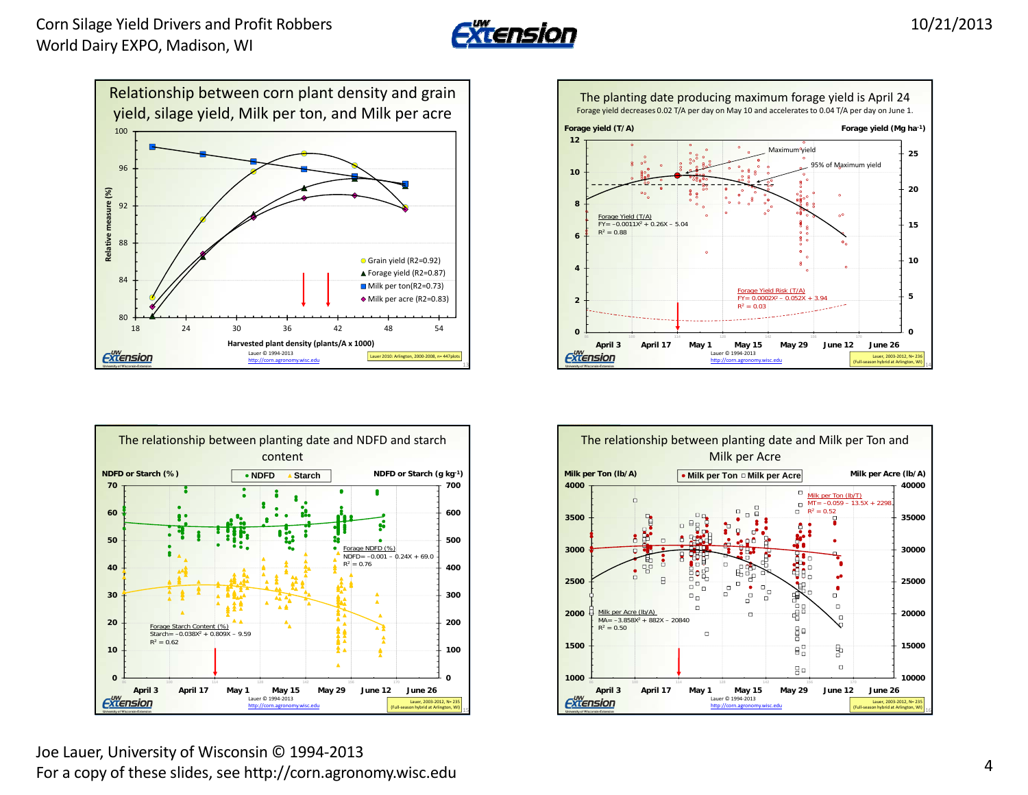









Joe Lauer, University of Wisconsin © 1994‐2013 For a copy of these slides, see http://corn.agronomy.wisc.edu <sup>4</sup>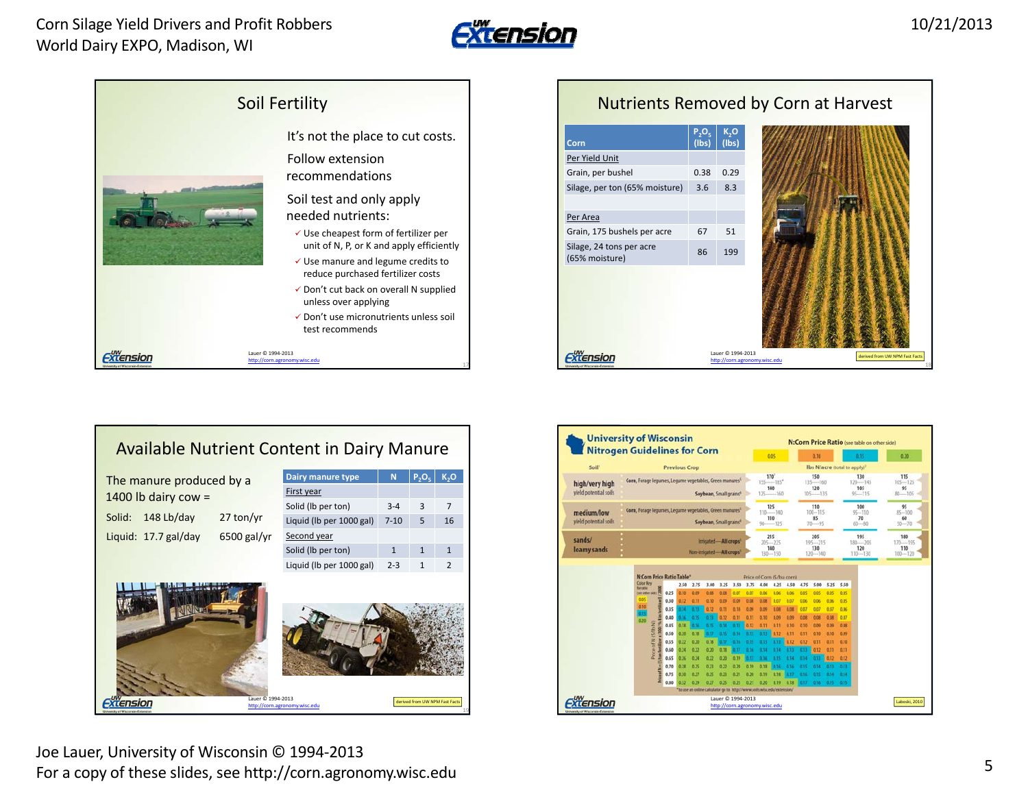



## Nutrients Removed by Corn at Harvest **P2O5 (lbs) K2O Corn(lbs)** Per Yield Unit Grain, per bushel 0.38 0.29 Silage, per ton (65% moisture) 3.6 8.3 Per AreaGrain, 175 bushels per acre 67 51 Silage, 24 tons per acre Silage, 24 tons per acre<br>(65% moisture) 86 199 *Extension* Lauer © 1994‐2013 derivedd from UW NPM Fast Facts http://corn.agronomy.wisc.edu

|                                         | <b>University of Wisconsin</b><br><b>Nitrogen Guidelines for Corn</b>                                                                                                                                                                                                                                                                                                                                                                                                                                                                                                                                                                                                                                                                                                                                                                                                                                                                           | N:Corn Price Ratio (see table on other side)                                                                                                                                                        |
|-----------------------------------------|-------------------------------------------------------------------------------------------------------------------------------------------------------------------------------------------------------------------------------------------------------------------------------------------------------------------------------------------------------------------------------------------------------------------------------------------------------------------------------------------------------------------------------------------------------------------------------------------------------------------------------------------------------------------------------------------------------------------------------------------------------------------------------------------------------------------------------------------------------------------------------------------------------------------------------------------------|-----------------------------------------------------------------------------------------------------------------------------------------------------------------------------------------------------|
| Soil <sup>1</sup>                       | 0.05<br><b>Previous Crop</b>                                                                                                                                                                                                                                                                                                                                                                                                                                                                                                                                                                                                                                                                                                                                                                                                                                                                                                                    | 0.30<br>0.15<br>Ibs N/acre (total to apply) <sup>2</sup>                                                                                                                                            |
|                                         | 170                                                                                                                                                                                                                                                                                                                                                                                                                                                                                                                                                                                                                                                                                                                                                                                                                                                                                                                                             | 150<br>130                                                                                                                                                                                          |
| high/very high<br>yield potential soils | Corn, Forage legumes, Legume vegetables, Green manures <sup>6</sup><br>$155$ -----185 <sup>*</sup><br>140<br>Soybean, Small grains <sup>6</sup><br>$125 - 160$                                                                                                                                                                                                                                                                                                                                                                                                                                                                                                                                                                                                                                                                                                                                                                                  | $135$ ---- 160<br>$120 - 145$<br>120<br>105<br>$105 - 135$<br>$95 - 115$                                                                                                                            |
| medium/low<br>yield potential soils     | 125<br>Corn, Forage legumes, Legume vegetables, Green manures <sup>1</sup><br>$110 - 140$<br>110<br>Soybean, Small grains <sup>4</sup><br>$90 - 125$                                                                                                                                                                                                                                                                                                                                                                                                                                                                                                                                                                                                                                                                                                                                                                                            | 110<br>100<br>$100 - 115$<br>$95 - 110$<br>85<br>70<br>$60 - 80$<br>$70 - 95$                                                                                                                       |
| sands/<br>loamy sands                   | 215<br>Irrigated-All crops <sup>1</sup><br>$205 - 225$<br>140<br>Non-irrigated-All crops <sup>5</sup>                                                                                                                                                                                                                                                                                                                                                                                                                                                                                                                                                                                                                                                                                                                                                                                                                                           | 205<br>195<br>$195 - 215$<br>$180 - 205$<br>130<br>120                                                                                                                                              |
|                                         | $130 - 150$                                                                                                                                                                                                                                                                                                                                                                                                                                                                                                                                                                                                                                                                                                                                                                                                                                                                                                                                     | $120 - 140$<br>$110 - 130$                                                                                                                                                                          |
|                                         | <b>N:Corn Price Ratio Table*</b><br>Price of Corn (\$/bu corn)<br><b>Color Key</b><br>3.25 3.50 3.75 4.00 4.25 4.50 4.75 5.00 5.25 5.50<br>2.50 2.75<br>3.00<br>for matter<br>0.06 0.06 0.05<br>0.25<br>0.06<br>tee other side) 24<br>0.09<br>0.GR<br><b>O.OR</b><br>0.07<br>0.07<br>0.30<br>0.10<br>0.07<br>0.12<br>0.11<br>0.09<br>0.09<br>0.08<br>0.08<br>0.06<br>0.10<br>0.35<br>0.12<br>0.11<br>0.09<br>0.00<br>0.08<br>0.08<br>8.87<br>0.11<br>0.11<br>0.10<br>0.09<br>0.09<br>0.08<br>0.20<br>(S/15 N)<br>6.15<br>0.14 0.13<br>0.12 0.11<br>0.11<br>0.10<br>0.45<br>0.20<br>0.13 0.13 0.12 0.11 0.11<br>0.50<br>0.18<br>$0.15 - 0.14$<br>0.22<br>813 811 812 812 8.11 8.11 8.10<br>0.20<br>0.18<br>0.55<br>0.16<br>0.15<br>0.22<br>0.20<br>0.18<br>0.34<br>674<br>0.17.<br>$-0.16$<br>0.60<br>Ē<br>0.22<br>0.20 0.19<br>0.34<br>$0.17 - 0.16$<br>0.15<br>0.65<br>0.71<br>0.22 0.20<br>$0.19$ $0.18$<br>0.16 0.16<br>0.70<br>0.25<br>0.15 | 0.05<br>0.05<br>0.05<br>0.06<br>0.05<br>0.06<br>0.07<br>0.67<br>0.06<br>0.07<br>0.08<br>0.08<br>5.09<br>0.30<br>0.09<br>0.14 0.13 0.13 0.12 0.11 0.11<br>0.14 0.14 0.11 0.12 0.12<br>0.14 0.13 0.13 |
|                                         | 0.21 0.20 0.19<br>0.18 0.17 0.16 0.15<br>0.75<br>0.25<br>$0.23 -$                                                                                                                                                                                                                                                                                                                                                                                                                                                                                                                                                                                                                                                                                                                                                                                                                                                                               | 0.34 0.14                                                                                                                                                                                           |

## Available Nutrient Content in Dairy Manure

| The manure produced by a<br>1400 lb dairy cow = |            |                    | Dairy manure type<br>N<br>$P_2O_5$<br>ĸ,o |              |                |               |
|-------------------------------------------------|------------|--------------------|-------------------------------------------|--------------|----------------|---------------|
|                                                 |            |                    | First year                                |              |                |               |
|                                                 |            | Solid (lb per ton) | $3 - 4$                                   | 3            | $\overline{7}$ |               |
| Solid:                                          | 148 Lb/day | 27 ton/yr          | Liquid (lb per 1000 gal)                  | $7 - 10$     | 5              | 16            |
| Liquid: 17.7 gal/day                            |            | $6500$ gal/yr      | Second year                               |              |                |               |
|                                                 |            |                    | Solid (lb per ton)                        | $\mathbf{1}$ | $\mathbf{1}$   | $\mathbf{1}$  |
|                                                 |            |                    | Liquid (lb per 1000 gal)                  | $2 - 3$      | $\mathbf{1}$   | $\mathcal{P}$ |
|                                                 |            |                    |                                           |              |                |               |

Fxtension



Lauer © 1994‐2013

http://corn.agronomy.wisc.edu 19